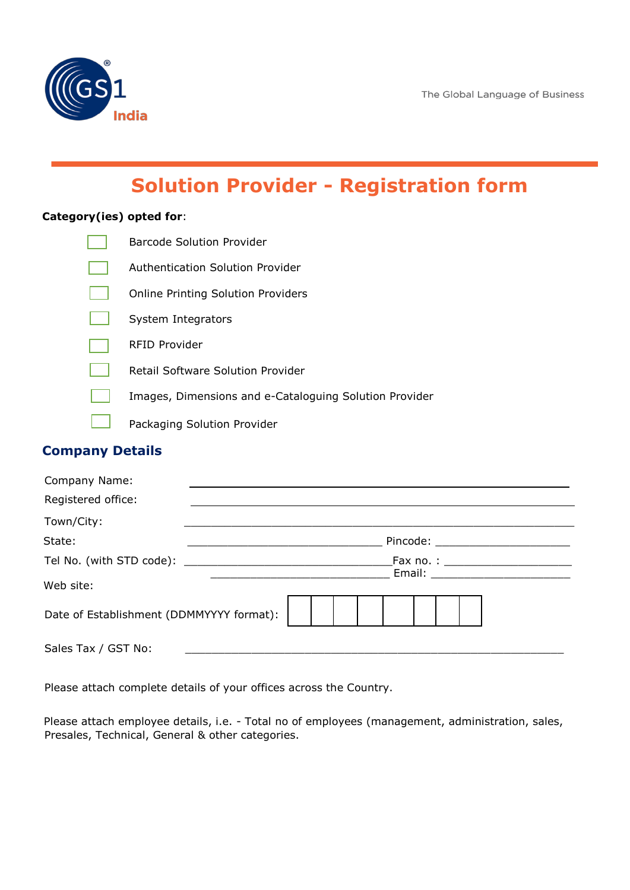

# **Solution Provider - Registration form**

#### **Category(ies) opted for**:

| <b>Barcode Solution Provider</b>                       |
|--------------------------------------------------------|
| Authentication Solution Provider                       |
| <b>Online Printing Solution Providers</b>              |
| System Integrators                                     |
| RFID Provider                                          |
| Retail Software Solution Provider                      |
| Images, Dimensions and e-Cataloguing Solution Provider |
| Packaging Solution Provider                            |

# **Company Details**

| Company Name:                            |                                     |
|------------------------------------------|-------------------------------------|
| Registered office:                       |                                     |
| Town/City:                               |                                     |
| State:                                   | Pincode: __________                 |
|                                          | Fax no. : _________________________ |
| Web site:                                |                                     |
| Date of Establishment (DDMMYYYY format): |                                     |
| Sales Tax / GST No:                      |                                     |

Please attach complete details of your offices across the Country.

Please attach employee details, i.e. - Total no of employees (management, administration, sales, Presales, Technical, General & other categories.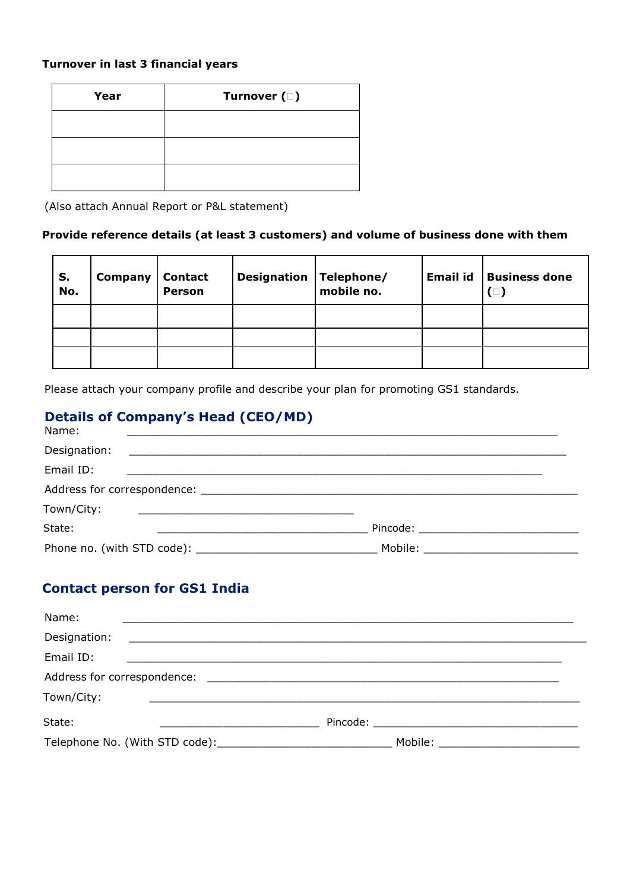#### **Turnover in last 3 financial years**

| Year | Turnover ( $\square$ ) |
|------|------------------------|
|      |                        |
|      |                        |
|      |                        |

(Also attach Annual Report or P&L statement)

#### **Provide reference details (at least 3 customers) and volume of business done with them**

| S.<br>No. | Company | <b>Contact</b><br><b>Person</b> | <b>Designation Telephone/</b><br>mobile no. | <b>Email id</b> | <b>Business done</b><br>$(\Box)$ |
|-----------|---------|---------------------------------|---------------------------------------------|-----------------|----------------------------------|
|           |         |                                 |                                             |                 |                                  |
|           |         |                                 |                                             |                 |                                  |
|           |         |                                 |                                             |                 |                                  |

Please attach your company profile and describe your plan for promoting GS1 standards.

# **Details of Company's Head (CEO/MD)**

| Name:                                                                                                                                |                                                                                                                                                                                                                                |  |
|--------------------------------------------------------------------------------------------------------------------------------------|--------------------------------------------------------------------------------------------------------------------------------------------------------------------------------------------------------------------------------|--|
| Designation:<br><u> Alexandro de la contrada de la contrada de la contrada de la contrada de la contrada de la contrada de la co</u> |                                                                                                                                                                                                                                |  |
| Email ID:                                                                                                                            |                                                                                                                                                                                                                                |  |
|                                                                                                                                      |                                                                                                                                                                                                                                |  |
| Town/City:                                                                                                                           |                                                                                                                                                                                                                                |  |
| State:                                                                                                                               |                                                                                                                                                                                                                                |  |
|                                                                                                                                      | Mobile: when the contract of the contract of the contract of the contract of the contract of the contract of the contract of the contract of the contract of the contract of the contract of the contract of the contract of t |  |

### **Contact person for GS1 India**

| Name:                                                         |                                 |
|---------------------------------------------------------------|---------------------------------|
| Designation:                                                  |                                 |
| Email ID:                                                     |                                 |
|                                                               |                                 |
| Town/City:                                                    |                                 |
| State:                                                        |                                 |
| Telephone No. (With STD code): Telephone No. (With STD code): | Mobile: _______________________ |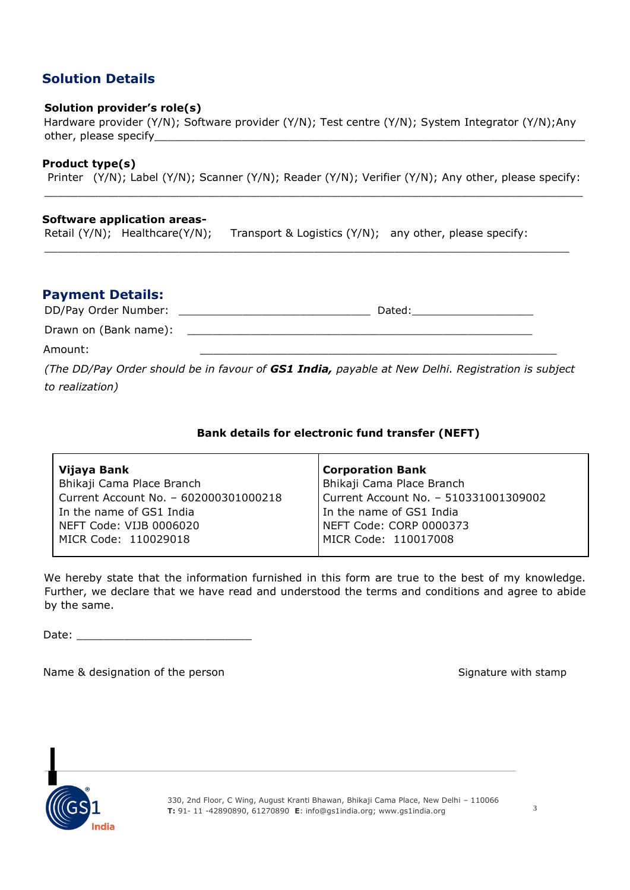# **Solution Details**

#### **Solution provider's role(s)**

Hardware provider (Y/N); Software provider (Y/N); Test centre (Y/N); System Integrator (Y/N);Any other, please specify

#### **Product type(s)**

Printer (Y/N); Label (Y/N); Scanner (Y/N); Reader (Y/N); Verifier (Y/N); Any other, please specify:  $\_$  ,  $\_$  ,  $\_$  ,  $\_$  ,  $\_$  ,  $\_$  ,  $\_$  ,  $\_$  ,  $\_$  ,  $\_$  ,  $\_$  ,  $\_$  ,  $\_$  ,  $\_$  ,  $\_$  ,  $\_$  ,  $\_$  ,  $\_$  ,  $\_$  ,  $\_$  ,  $\_$  ,  $\_$  ,  $\_$  ,  $\_$  ,  $\_$  ,  $\_$  ,  $\_$  ,  $\_$  ,  $\_$  ,  $\_$  ,  $\_$  ,  $\_$  ,  $\_$  ,  $\_$  ,  $\_$  ,  $\_$  ,  $\_$  ,

 $\Box$ 

#### **Software application areas-**

Retail (Y/N); Healthcare(Y/N); Transport & Logistics (Y/N); any other, please specify:

#### **Payment Details:**

DD/Pay Order Number: \_\_\_\_\_\_\_\_\_\_\_\_\_\_\_\_\_\_\_\_\_\_\_\_\_\_\_\_\_\_ Dated:\_\_\_\_\_\_\_\_\_\_\_\_\_\_\_\_\_\_\_

Drawn on (Bank name):

Amount: \_\_\_\_\_\_\_\_\_\_\_\_\_\_\_\_\_\_\_\_\_\_\_\_\_\_\_\_\_\_\_\_\_\_\_\_\_\_\_\_\_\_\_\_\_\_\_\_\_\_\_\_\_

*(The DD/Pay Order should be in favour of GS1 India, payable at New Delhi. Registration is subject to realization)*

#### **Bank details for electronic fund transfer (NEFT)**

| Vijaya Bank                           | <b>Corporation Bank</b>               |
|---------------------------------------|---------------------------------------|
| Bhikaji Cama Place Branch             | Bhikaji Cama Place Branch             |
| Current Account No. - 602000301000218 | Current Account No. - 510331001309002 |
| In the name of GS1 India              | In the name of GS1 India              |
| NEFT Code: VIJB 0006020               | NEFT Code: CORP 0000373               |
| MICR Code: 110029018                  | MICR Code: 110017008                  |

We hereby state that the information furnished in this form are true to the best of my knowledge. Further, we declare that we have read and understood the terms and conditions and agree to abide by the same.

Date:  $\Box$ 

Name & designation of the person Signature with stamp Signature with stamp



330, 2nd Floor, C Wing, August Kranti Bhawan, Bhikaji Cama Place, New Delhi – 110066 3 **T:** 91- 11 -42890890, 61270890 **E**: info@gs1india.org; www.gs1india.org